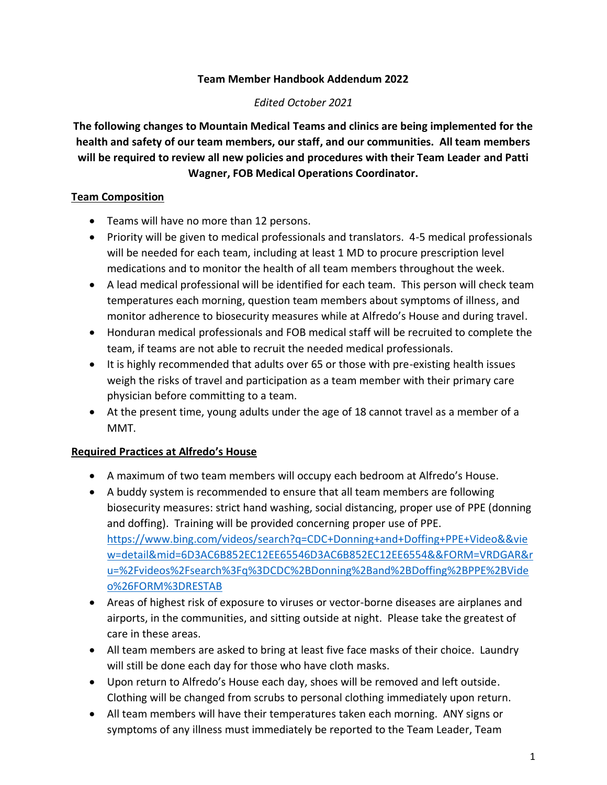### **Team Member Handbook Addendum 2022**

### *Edited October 2021*

**The following changes to Mountain Medical Teams and clinics are being implemented for the health and safety of our team members, our staff, and our communities. All team members will be required to review all new policies and procedures with their Team Leader and Patti Wagner, FOB Medical Operations Coordinator.**

## **Team Composition**

- Teams will have no more than 12 persons.
- Priority will be given to medical professionals and translators. 4-5 medical professionals will be needed for each team, including at least 1 MD to procure prescription level medications and to monitor the health of all team members throughout the week.
- A lead medical professional will be identified for each team. This person will check team temperatures each morning, question team members about symptoms of illness, and monitor adherence to biosecurity measures while at Alfredo's House and during travel.
- Honduran medical professionals and FOB medical staff will be recruited to complete the team, if teams are not able to recruit the needed medical professionals.
- It is highly recommended that adults over 65 or those with pre-existing health issues weigh the risks of travel and participation as a team member with their primary care physician before committing to a team.
- At the present time, young adults under the age of 18 cannot travel as a member of a MMT.

# **Required Practices at Alfredo's House**

- A maximum of two team members will occupy each bedroom at Alfredo's House.
- A buddy system is recommended to ensure that all team members are following biosecurity measures: strict hand washing, social distancing, proper use of PPE (donning and doffing). Training will be provided concerning proper use of PPE. [https://www.bing.com/videos/search?q=CDC+Donning+and+Doffing+PPE+Video&&vie](https://www.bing.com/videos/search?q=CDC+Donning+and+Doffing+PPE+Video&&view=detail&mid=6D3AC6B852EC12EE65546D3AC6B852EC12EE6554&&FORM=VRDGAR&ru=%2Fvideos%2Fsearch%3Fq%3DCDC%2BDonning%2Band%2BDoffing%2BPPE%2BVideo%26FORM%3DRESTAB) [w=detail&mid=6D3AC6B852EC12EE65546D3AC6B852EC12EE6554&&FORM=VRDGAR&r](https://www.bing.com/videos/search?q=CDC+Donning+and+Doffing+PPE+Video&&view=detail&mid=6D3AC6B852EC12EE65546D3AC6B852EC12EE6554&&FORM=VRDGAR&ru=%2Fvideos%2Fsearch%3Fq%3DCDC%2BDonning%2Band%2BDoffing%2BPPE%2BVideo%26FORM%3DRESTAB) [u=%2Fvideos%2Fsearch%3Fq%3DCDC%2BDonning%2Band%2BDoffing%2BPPE%2BVide](https://www.bing.com/videos/search?q=CDC+Donning+and+Doffing+PPE+Video&&view=detail&mid=6D3AC6B852EC12EE65546D3AC6B852EC12EE6554&&FORM=VRDGAR&ru=%2Fvideos%2Fsearch%3Fq%3DCDC%2BDonning%2Band%2BDoffing%2BPPE%2BVideo%26FORM%3DRESTAB) [o%26FORM%3DRESTAB](https://www.bing.com/videos/search?q=CDC+Donning+and+Doffing+PPE+Video&&view=detail&mid=6D3AC6B852EC12EE65546D3AC6B852EC12EE6554&&FORM=VRDGAR&ru=%2Fvideos%2Fsearch%3Fq%3DCDC%2BDonning%2Band%2BDoffing%2BPPE%2BVideo%26FORM%3DRESTAB)
- Areas of highest risk of exposure to viruses or vector-borne diseases are airplanes and airports, in the communities, and sitting outside at night. Please take the greatest of care in these areas.
- All team members are asked to bring at least five face masks of their choice. Laundry will still be done each day for those who have cloth masks.
- Upon return to Alfredo's House each day, shoes will be removed and left outside. Clothing will be changed from scrubs to personal clothing immediately upon return.
- All team members will have their temperatures taken each morning. ANY signs or symptoms of any illness must immediately be reported to the Team Leader, Team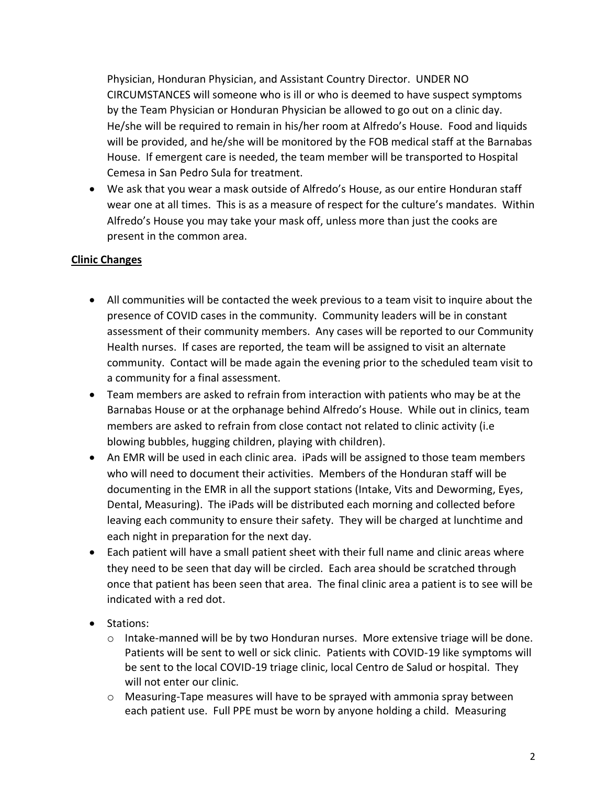Physician, Honduran Physician, and Assistant Country Director. UNDER NO CIRCUMSTANCES will someone who is ill or who is deemed to have suspect symptoms by the Team Physician or Honduran Physician be allowed to go out on a clinic day. He/she will be required to remain in his/her room at Alfredo's House. Food and liquids will be provided, and he/she will be monitored by the FOB medical staff at the Barnabas House. If emergent care is needed, the team member will be transported to Hospital Cemesa in San Pedro Sula for treatment.

• We ask that you wear a mask outside of Alfredo's House, as our entire Honduran staff wear one at all times. This is as a measure of respect for the culture's mandates. Within Alfredo's House you may take your mask off, unless more than just the cooks are present in the common area.

### **Clinic Changes**

- All communities will be contacted the week previous to a team visit to inquire about the presence of COVID cases in the community. Community leaders will be in constant assessment of their community members. Any cases will be reported to our Community Health nurses. If cases are reported, the team will be assigned to visit an alternate community. Contact will be made again the evening prior to the scheduled team visit to a community for a final assessment.
- Team members are asked to refrain from interaction with patients who may be at the Barnabas House or at the orphanage behind Alfredo's House. While out in clinics, team members are asked to refrain from close contact not related to clinic activity (i.e blowing bubbles, hugging children, playing with children).
- An EMR will be used in each clinic area. iPads will be assigned to those team members who will need to document their activities. Members of the Honduran staff will be documenting in the EMR in all the support stations (Intake, Vits and Deworming, Eyes, Dental, Measuring). The iPads will be distributed each morning and collected before leaving each community to ensure their safety. They will be charged at lunchtime and each night in preparation for the next day.
- Each patient will have a small patient sheet with their full name and clinic areas where they need to be seen that day will be circled. Each area should be scratched through once that patient has been seen that area. The final clinic area a patient is to see will be indicated with a red dot.
- Stations:
	- $\circ$  Intake-manned will be by two Honduran nurses. More extensive triage will be done. Patients will be sent to well or sick clinic. Patients with COVID-19 like symptoms will be sent to the local COVID-19 triage clinic, local Centro de Salud or hospital. They will not enter our clinic.
	- o Measuring-Tape measures will have to be sprayed with ammonia spray between each patient use. Full PPE must be worn by anyone holding a child. Measuring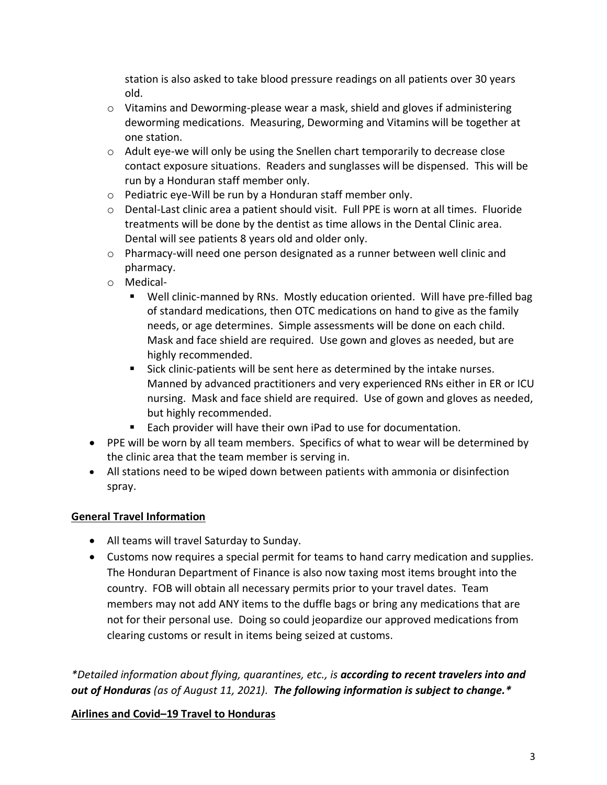station is also asked to take blood pressure readings on all patients over 30 years old.

- $\circ$  Vitamins and Deworming-please wear a mask, shield and gloves if administering deworming medications. Measuring, Deworming and Vitamins will be together at one station.
- $\circ$  Adult eye-we will only be using the Snellen chart temporarily to decrease close contact exposure situations. Readers and sunglasses will be dispensed. This will be run by a Honduran staff member only.
- o Pediatric eye-Will be run by a Honduran staff member only.
- $\circ$  Dental-Last clinic area a patient should visit. Full PPE is worn at all times. Fluoride treatments will be done by the dentist as time allows in the Dental Clinic area. Dental will see patients 8 years old and older only.
- $\circ$  Pharmacy-will need one person designated as a runner between well clinic and pharmacy.
- o Medical-
	- Well clinic-manned by RNs. Mostly education oriented. Will have pre-filled bag of standard medications, then OTC medications on hand to give as the family needs, or age determines. Simple assessments will be done on each child. Mask and face shield are required. Use gown and gloves as needed, but are highly recommended.
	- Sick clinic-patients will be sent here as determined by the intake nurses. Manned by advanced practitioners and very experienced RNs either in ER or ICU nursing. Mask and face shield are required. Use of gown and gloves as needed, but highly recommended.
	- Each provider will have their own iPad to use for documentation.
- PPE will be worn by all team members. Specifics of what to wear will be determined by the clinic area that the team member is serving in.
- All stations need to be wiped down between patients with ammonia or disinfection spray.

### **General Travel Information**

- All teams will travel Saturday to Sunday.
- Customs now requires a special permit for teams to hand carry medication and supplies. The Honduran Department of Finance is also now taxing most items brought into the country. FOB will obtain all necessary permits prior to your travel dates. Team members may not add ANY items to the duffle bags or bring any medications that are not for their personal use. Doing so could jeopardize our approved medications from clearing customs or result in items being seized at customs.

*\*Detailed information about flying, quarantines, etc., is according to recent travelers into and out of Honduras (as of August 11, 2021). The following information is subject to change.\** 

### **Airlines and Covid–19 Travel to Honduras**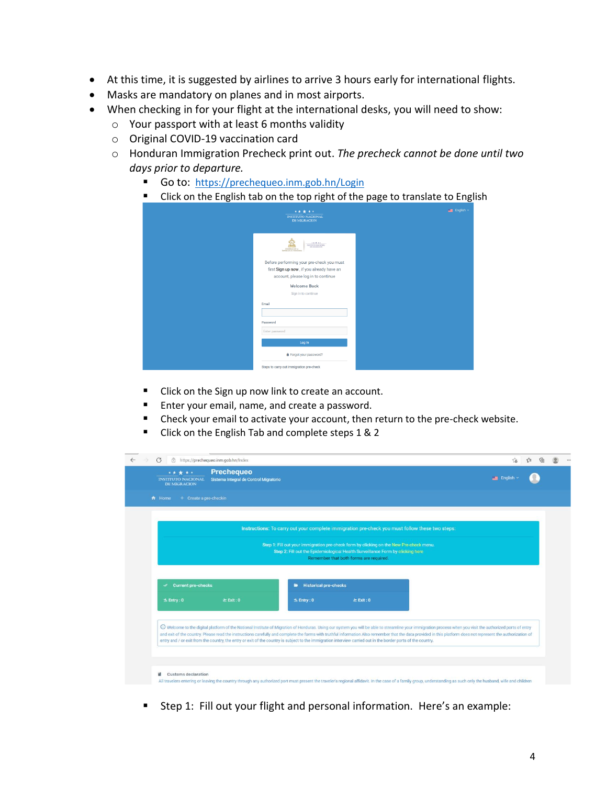- At this time, it is suggested by airlines to arrive 3 hours early for international flights.
- Masks are mandatory on planes and in most airports.
- When checking in for your flight at the international desks, you will need to show:
	- o Your passport with at least 6 months validity
	- o Original COVID-19 vaccination card
	- o Honduran Immigration Precheck print out. *The precheck cannot be done until two days prior to departure.*
		- Go to: <https://prechequeo.inm.gob.hn/Login>
		- Click on the English tab on the top right of the page to translate to English

| *****<br><b>INSTITUTO NACIONAL</b><br><b>DE MIGRACION</b>                                                                    | English ~ |
|------------------------------------------------------------------------------------------------------------------------------|-----------|
| 18.9883<br>INSTITUTO NACIONAL<br>DE MIGRACIÓN<br>CONTRNO DE LA<br><b>ELPÓSLICA DE HONOURAS</b>                               |           |
| Before performing your pre-check you must<br>first Sign up now, if you already have an<br>account, please log in to continue |           |
| <b>Welcome Back</b><br>Sign in to continue                                                                                   |           |
| Email                                                                                                                        |           |
| Password<br>Enter password                                                                                                   |           |
| Log In                                                                                                                       |           |
| <b>&amp;</b> Forgot your password?<br>Steps to carry out immigration pre-check                                               |           |

- Click on the Sign up now link to create an account.
- Enter your email, name, and create a password.
- Check your email to activate your account, then return to the pre-check website.
- Click on the English Tab and complete steps 1 & 2

| Sistema Integral de Control Migratorio<br><b>INSTITUTO NACIONAL</b><br>DE MIGRACION |                        |                                | <b>English</b>                                                                                                                                                                                                                                                                                                                                                                                                                                                                                                                                                                                  |  |  |
|-------------------------------------------------------------------------------------|------------------------|--------------------------------|-------------------------------------------------------------------------------------------------------------------------------------------------------------------------------------------------------------------------------------------------------------------------------------------------------------------------------------------------------------------------------------------------------------------------------------------------------------------------------------------------------------------------------------------------------------------------------------------------|--|--|
| <del>n</del> Home                                                                   | + Create a pre-checkin |                                |                                                                                                                                                                                                                                                                                                                                                                                                                                                                                                                                                                                                 |  |  |
|                                                                                     |                        |                                | Instructions: To carry out your complete immigration pre-check you must follow these two steps:                                                                                                                                                                                                                                                                                                                                                                                                                                                                                                 |  |  |
|                                                                                     |                        |                                | Step 1: Fill out your immigration pre-check form by clicking on the New Pre-check menu.                                                                                                                                                                                                                                                                                                                                                                                                                                                                                                         |  |  |
|                                                                                     |                        |                                | Step 2: Fill out the Epidemiological Health Surveillance Form by clicking here<br>Remember that both forms are required.                                                                                                                                                                                                                                                                                                                                                                                                                                                                        |  |  |
| <b>Current pre-checks</b><br>$\checkmark$                                           |                        | <b>E</b> Historical pre-checks |                                                                                                                                                                                                                                                                                                                                                                                                                                                                                                                                                                                                 |  |  |
|                                                                                     | $\geq$ Exit : 0        | $\leq$ Entry : 0               | $\geq$ Exit: 0                                                                                                                                                                                                                                                                                                                                                                                                                                                                                                                                                                                  |  |  |
| $\pm$ Entry : 0                                                                     |                        |                                |                                                                                                                                                                                                                                                                                                                                                                                                                                                                                                                                                                                                 |  |  |
|                                                                                     |                        |                                |                                                                                                                                                                                                                                                                                                                                                                                                                                                                                                                                                                                                 |  |  |
|                                                                                     |                        |                                | 4 Welcome to the digital platform of the National Institute of Migration of Honduras. Using our system you will be able to streamline your immigration process when you visit the authorized ports of entry<br>and exit of the country. Please read the instructions carefully and complete the forms with truthful information.Also remember that the data provided in this platform does not represent the authorization of<br>entry and / or exit from the country, the entry or exit of the country is subject to the immigration interview carried out in the border ports of the country. |  |  |

■ Step 1: Fill out your flight and personal information. Here's an example: